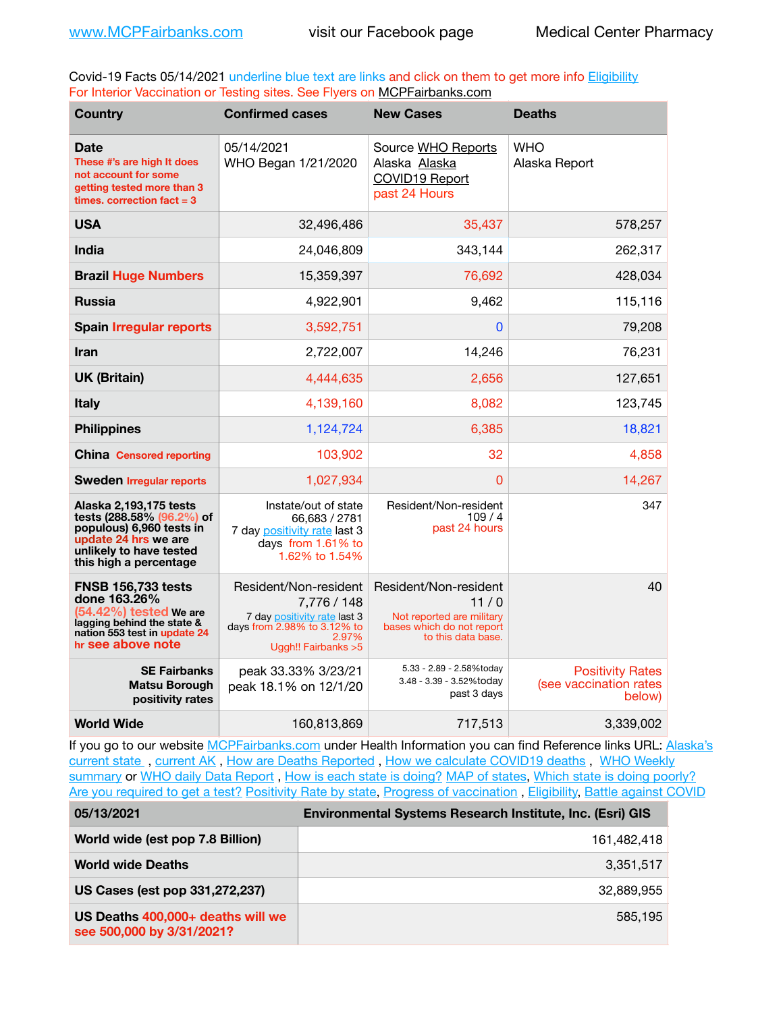Covid-19 Facts 05/14/2021 underline blue text are links and click on them to get more info **Eligibility** For Interior Vaccination or Testing sites. See Flyers on [MCPFairbanks.com](http://www.MCPFairbanks.com)

| <b>Country</b>                                                                                                                                               | <b>Confirmed cases</b>                                                                                                               | <b>New Cases</b>                                                                                              | <b>Deaths</b>                                               |
|--------------------------------------------------------------------------------------------------------------------------------------------------------------|--------------------------------------------------------------------------------------------------------------------------------------|---------------------------------------------------------------------------------------------------------------|-------------------------------------------------------------|
| <b>Date</b><br>These #'s are high It does<br>not account for some<br>getting tested more than 3<br>times, correction $fact = 3$                              | 05/14/2021<br>WHO Began 1/21/2020                                                                                                    | <b>WHO</b><br>Source WHO Reports<br>Alaska Alaska<br>Alaska Report<br><b>COVID19 Report</b><br>past 24 Hours  |                                                             |
| <b>USA</b>                                                                                                                                                   | 32,496,486                                                                                                                           | 35,437                                                                                                        | 578,257                                                     |
| India                                                                                                                                                        | 24,046,809                                                                                                                           | 343,144                                                                                                       | 262,317                                                     |
| <b>Brazil Huge Numbers</b>                                                                                                                                   | 15,359,397                                                                                                                           | 76,692                                                                                                        | 428,034                                                     |
| <b>Russia</b>                                                                                                                                                | 4,922,901                                                                                                                            | 9,462                                                                                                         | 115,116                                                     |
| <b>Spain Irregular reports</b>                                                                                                                               | 3,592,751                                                                                                                            | 0                                                                                                             | 79,208                                                      |
| <b>Iran</b>                                                                                                                                                  | 2,722,007                                                                                                                            | 14,246                                                                                                        | 76,231                                                      |
| <b>UK (Britain)</b>                                                                                                                                          | 4,444,635                                                                                                                            | 2,656                                                                                                         | 127,651                                                     |
| <b>Italy</b>                                                                                                                                                 | 4,139,160                                                                                                                            | 8,082                                                                                                         | 123,745                                                     |
| <b>Philippines</b>                                                                                                                                           | 1,124,724                                                                                                                            | 6,385                                                                                                         | 18,821                                                      |
| <b>China Censored reporting</b>                                                                                                                              | 103,902                                                                                                                              | 32                                                                                                            | 4,858                                                       |
| <b>Sweden Irregular reports</b>                                                                                                                              | 1,027,934                                                                                                                            | 0                                                                                                             | 14,267                                                      |
| Alaska 2,193,175 tests<br>tests (288.58% (96.2%) of<br>populous) 6,960 tests in<br>update 24 hrs we are<br>unlikely to have tested<br>this high a percentage | Instate/out of state<br>66,683 / 2781<br>7 day positivity rate last 3<br>days from 1.61% to<br>1.62% to 1.54%                        | Resident/Non-resident<br>109/4<br>past 24 hours                                                               | 347                                                         |
| <b>FNSB 156,733 tests</b><br>done 163.26%<br>(54.42%) tested We are<br>lagging behind the state &<br>nation 553 test in update 24<br>hr see above note       | Resident/Non-resident<br>7,776 / 148<br>7 day positivity rate last 3<br>days from 2.98% to 3.12% to<br>2.97%<br>Uggh!! Fairbanks > 5 | Resident/Non-resident<br>11/0<br>Not reported are military<br>bases which do not report<br>to this data base. | 40                                                          |
| <b>SE Fairbanks</b><br><b>Matsu Borough</b><br>positivity rates                                                                                              | peak 33.33% 3/23/21<br>peak 18.1% on 12/1/20                                                                                         | 5.33 - 2.89 - 2.58%today<br>3.48 - 3.39 - 3.52%today<br>past 3 days                                           | <b>Positivity Rates</b><br>(see vaccination rates<br>below) |
| <b>World Wide</b>                                                                                                                                            | 160,813,869                                                                                                                          | 717,513                                                                                                       | 3,339,002                                                   |

If you go to our website [MCPFairbanks.com](http://www.MCPFairbanks.com) under Health Information you can find Reference links URL: Alaska's [current state](https://coronavirus-response-alaska-dhss.hub.arcgis.com) , [current AK](http://dhss.alaska.gov/dph/Epi/id/Pages/COVID-19/communications.aspx#cases) , [How are Deaths Reported](http://dhss.alaska.gov/dph/Epi/id/Pages/COVID-19/deathcounts.aspx) , [How we calculate COVID19 deaths](https://coronavirus-response-alaska-dhss.hub.arcgis.com/search?collection=Document&groupIds=41ccb3344ebc4bd682c74073eba21f42) , [WHO Weekly](http://www.who.int)  [summary](http://www.who.int) or [WHO daily Data Report](https://covid19.who.int/table), [How is each state is doing?](https://www.msn.com/en-us/news/us/state-by-state-coronavirus-news/ar-BB13E1PX?fbclid=IwAR0_OBJH7lSyTN3ug_MsOeFnNgB1orTa9OBgilKJ7dhnwlVvHEsptuKkj1c) [MAP of states,](https://www.nationalgeographic.com/science/graphics/graphic-tracking-coronavirus-infections-us?cmpid=org=ngp::mc=crm-email::src=ngp::cmp=editorial::add=SpecialEdition_20210305&rid=B9A6DF5992658E8E35CE023113CFEA4C) [Which state is doing poorly?](https://bestlifeonline.com/covid-outbreak-your-state/?utm_source=nsltr&utm_medium=email&utm_content=covid-outbreak-your-state&utm_campaign=launch) [Are you required to get a test?](http://dhss.alaska.gov/dph/Epi/id/SiteAssets/Pages/HumanCoV/Whattodoafteryourtest.pdf) [Positivity Rate by state](https://coronavirus.jhu.edu/testing/individual-states/alaska), Progress of vaccination, [Eligibility,](http://dhss.alaska.gov/dph/Epi/id/Pages/COVID-19/VaccineAvailability.aspx) [Battle against COVID](https://www.nationalgeographic.com/science/graphics/graphic-tracking-coronavirus-infections-us?cmpid=org=ngp::mc=crm-email::src=ngp::cmp=editorial::add=SpecialEdition_20210219&rid=B9A6DF5992658E8E35CE023113CFEA4C)

| 05/13/2021                                                     | Environmental Systems Research Institute, Inc. (Esri) GIS |
|----------------------------------------------------------------|-----------------------------------------------------------|
| World wide (est pop 7.8 Billion)                               | 161,482,418                                               |
| <b>World wide Deaths</b>                                       | 3,351,517                                                 |
| US Cases (est pop 331,272,237)                                 | 32.889.955                                                |
| US Deaths 400,000+ deaths will we<br>see 500,000 by 3/31/2021? | 585.195                                                   |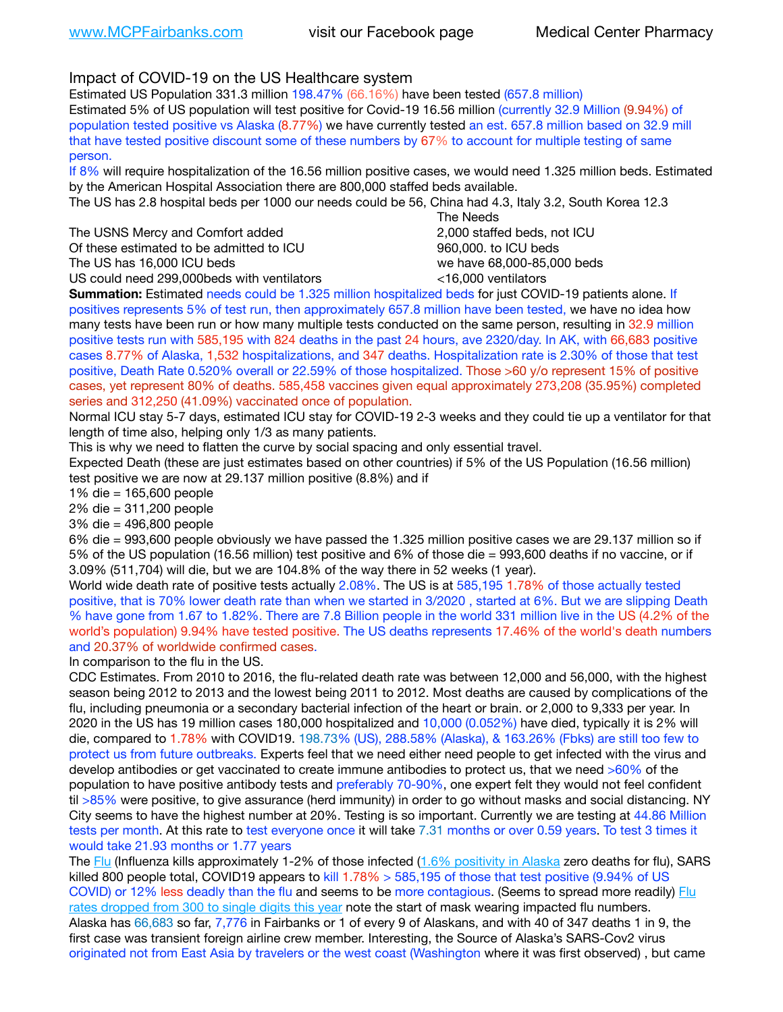Impact of COVID-19 on the US Healthcare system

Estimated US Population 331.3 million 198.47% (66.16%) have been tested (657.8 million) Estimated 5% of US population will test positive for Covid-19 16.56 million (currently 32.9 Million (9.94%) of population tested positive vs Alaska (8.77%) we have currently tested an est. 657.8 million based on 32.9 mill that have tested positive discount some of these numbers by 67% to account for multiple testing of same person.

If 8% will require hospitalization of the 16.56 million positive cases, we would need 1.325 million beds. Estimated by the American Hospital Association there are 800,000 staffed beds available.

The US has 2.8 hospital beds per 1000 our needs could be 56, China had 4.3, Italy 3.2, South Korea 12.3

The USNS Mercy and Comfort added **8.1.2.1.2.1.2.000** staffed beds, not ICU Of these estimated to be admitted to ICU 860,000. to ICU beds The US has 16,000 ICU beds we have 68,000-85,000 beds US could need 299,000beds with ventilators <16,000 ventilators

 The Needs

**Summation:** Estimated needs could be 1.325 million hospitalized beds for just COVID-19 patients alone. If positives represents 5% of test run, then approximately 657.8 million have been tested, we have no idea how many tests have been run or how many multiple tests conducted on the same person, resulting in 32.9 million positive tests run with 585,195 with 824 deaths in the past 24 hours, ave 2320/day. In AK, with 66,683 positive cases 8.77% of Alaska, 1,532 hospitalizations, and 347 deaths. Hospitalization rate is 2.30% of those that test positive, Death Rate 0.520% overall or 22.59% of those hospitalized. Those >60 y/o represent 15% of positive cases, yet represent 80% of deaths. 585,458 vaccines given equal approximately 273,208 (35.95%) completed series and 312,250 (41.09%) vaccinated once of population.

Normal ICU stay 5-7 days, estimated ICU stay for COVID-19 2-3 weeks and they could tie up a ventilator for that length of time also, helping only 1/3 as many patients.

This is why we need to flatten the curve by social spacing and only essential travel.

Expected Death (these are just estimates based on other countries) if 5% of the US Population (16.56 million) test positive we are now at 29.137 million positive (8.8%) and if

1% die = 165,600 people

2% die = 311,200 people

3% die = 496,800 people

6% die = 993,600 people obviously we have passed the 1.325 million positive cases we are 29.137 million so if 5% of the US population (16.56 million) test positive and 6% of those die = 993,600 deaths if no vaccine, or if 3.09% (511,704) will die, but we are 104.8% of the way there in 52 weeks (1 year).

World wide death rate of positive tests actually 2.08%. The US is at 585,195 1.78% of those actually tested positive, that is 70% lower death rate than when we started in 3/2020 , started at 6%. But we are slipping Death % have gone from 1.67 to 1.82%. There are 7.8 Billion people in the world 331 million live in the US (4.2% of the world's population) 9.94% have tested positive. The US deaths represents 17.46% of the world's death numbers and 20.37% of worldwide confirmed cases.

In comparison to the flu in the US.

CDC Estimates. From 2010 to 2016, the flu-related death rate was between 12,000 and 56,000, with the highest season being 2012 to 2013 and the lowest being 2011 to 2012. Most deaths are caused by complications of the flu, including pneumonia or a secondary bacterial infection of the heart or brain. or 2,000 to 9,333 per year. In 2020 in the US has 19 million cases 180,000 hospitalized and 10,000 (0.052%) have died, typically it is 2% will die, compared to 1.78% with COVID19. 198.73% (US), 288.58% (Alaska), & 163.26% (Fbks) are still too few to protect us from future outbreaks. Experts feel that we need either need people to get infected with the virus and develop antibodies or get vaccinated to create immune antibodies to protect us, that we need >60% of the population to have positive antibody tests and preferably 70-90%, one expert felt they would not feel confident til >85% were positive, to give assurance (herd immunity) in order to go without masks and social distancing. NY City seems to have the highest number at 20%. Testing is so important. Currently we are testing at 44.86 Million tests per month. At this rate to test everyone once it will take 7.31 months or over 0.59 years. To test 3 times it would take 21.93 months or 1.77 years

The [Flu](https://lnks.gd/l/eyJhbGciOiJIUzI1NiJ9.eyJidWxsZXRpbl9saW5rX2lkIjoxMDMsInVyaSI6ImJwMjpjbGljayIsImJ1bGxldGluX2lkIjoiMjAyMTAyMjYuMzYwNDA3NTEiLCJ1cmwiOiJodHRwczovL3d3dy5jZGMuZ292L2ZsdS93ZWVrbHkvb3ZlcnZpZXcuaHRtIn0.ePMA_hsZ-pTnhWSyg1gHvHWYTu2XceVOt0JejxvP1WE/s/500544915/br/98428119752-l) (Influenza kills approximately 1-2% of those infected ([1.6% positivity in Alaska](http://dhss.alaska.gov/dph/Epi/id/SiteAssets/Pages/influenza/trends/Snapshot.pdf) zero deaths for flu), SARS killed 800 people total, COVID19 appears to kill 1.78% > 585,195 of those that test positive (9.94% of US COVID) or 12% less deadly than the flu and seems to be more contagious. (Seems to spread more readily) Flu [rates dropped from 300 to single digits this year](https://lnks.gd/l/eyJhbGciOiJIUzI1NiJ9.eyJidWxsZXRpbl9saW5rX2lkIjoxMDEsInVyaSI6ImJwMjpjbGljayIsImJ1bGxldGluX2lkIjoiMjAyMTAyMjYuMzYwNDA3NTEiLCJ1cmwiOiJodHRwOi8vZGhzcy5hbGFza2EuZ292L2RwaC9FcGkvaWQvUGFnZXMvaW5mbHVlbnphL2ZsdWluZm8uYXNweCJ9.oOe3nt2fww6XpsNhb4FZfmtPfPa-irGaldpkURBJhSo/s/500544915/br/98428119752-l) note the start of mask wearing impacted flu numbers. Alaska has 66,683 so far, 7,776 in Fairbanks or 1 of every 9 of Alaskans, and with 40 of 347 deaths 1 in 9, the first case was transient foreign airline crew member. Interesting, the Source of Alaska's SARS-Cov2 virus originated not from East Asia by travelers or the west coast (Washington where it was first observed) , but came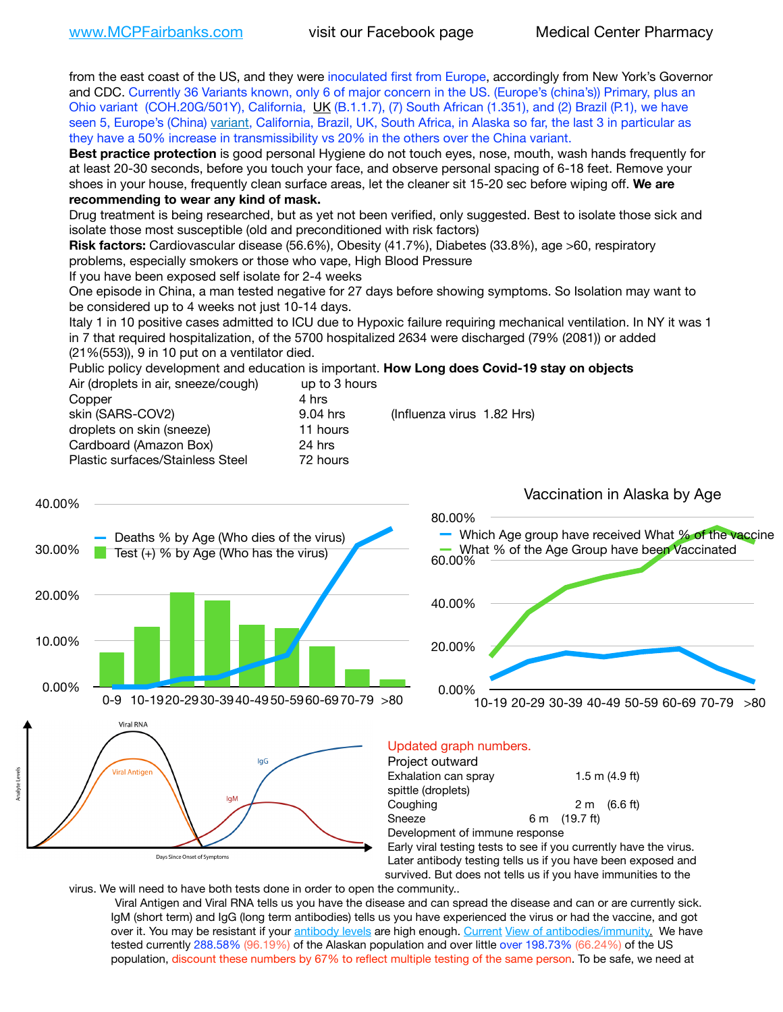from the east coast of the US, and they were inoculated first from Europe, accordingly from New York's Governor and CDC. Currently 36 Variants known, only 6 of major concern in the US. (Europe's (china's)) Primary, plus an Ohio variant (COH.20G/501Y), California, [UK](https://www.cdc.gov/coronavirus/2019-ncov/transmission/variant-cases.html) (B.1.1.7), (7) South African (1.351), and (2) Brazil (P.1), we have seen 5, Europe's (China) [variant,](https://www.webmd.com/lung/news/20210318/cdc-who-create-threat-levels-for-covid-variants?ecd=wnl_cvd_031921&ctr=wnl-cvd-031921&mb=kYbf7DsHb7YGjh/1RUkcAW0T6iorImAU1TDZh18RYs0=_Support_titleLink_2) California, Brazil, UK, South Africa, in Alaska so far, the last 3 in particular as they have a 50% increase in transmissibility vs 20% in the others over the China variant. **Best practice protection** is good personal Hygiene do not touch eyes, nose, mouth, wash hands frequently for at least 20-30 seconds, before you touch your face, and observe personal spacing of 6-18 feet. Remove your shoes in your house, frequently clean surface areas, let the cleaner sit 15-20 sec before wiping off. **We are recommending to wear any kind of mask.** Drug treatment is being researched, but as yet not been verified, only suggested. Best to isolate those sick and isolate those most susceptible (old and preconditioned with risk factors) **Risk factors:** Cardiovascular disease (56.6%), Obesity (41.7%), Diabetes (33.8%), age >60, respiratory problems, especially smokers or those who vape, High Blood Pressure If you have been exposed self isolate for 2-4 weeks One episode in China, a man tested negative for 27 days before showing symptoms. So Isolation may want to be considered up to 4 weeks not just 10-14 days. Italy 1 in 10 positive cases admitted to ICU due to Hypoxic failure requiring mechanical ventilation. In NY it was 1 in 7 that required hospitalization, of the 5700 hospitalized 2634 were discharged (79% (2081)) or added (21%(553)), 9 in 10 put on a ventilator died. Public policy development and education is important. **How Long does Covid-19 stay on objects** Air (droplets in air, sneeze/cough) up to 3 hours Copper 4 hrs skin (SARS-COV2) 9.04 hrs (Influenza virus 1.82 Hrs) droplets on skin (sneeze) 11 hours Cardboard (Amazon Box) 24 hrs Plastic surfaces/Stainless Steel 72 hours 0.00% 10.00% 20.00% 30.00% 40.00% 0-9 10-1920-2930-3940-4950-5960-6970-79 >80 Deaths % by Age (Who dies of the virus) Test  $(+)$  % by Age (Who has the virus) Vaccination in Alaska by Age 0.00% 20.00% 40.00% 60.00% 80.00% 10-19 20-29 30-39 40-49 50-59 60-69 70-79 >80 Which Age group have received What % of the vaccine What % of the Age Group have been Vaccinated



## Updated graph numbers.

| Project outward                |  |               |                        |  |  |
|--------------------------------|--|---------------|------------------------|--|--|
| Exhalation can spray           |  |               | $1.5$ m $(4.9$ ft)     |  |  |
| spittle (droplets)             |  |               |                        |  |  |
| Coughing                       |  |               | $2 \text{ m}$ (6.6 ft) |  |  |
| Sneeze                         |  | 6 m (19.7 ft) |                        |  |  |
| Development of immune response |  |               |                        |  |  |

Early viral testing tests to see if you currently have the virus. Later antibody testing tells us if you have been exposed and survived. But does not tells us if you have immunities to the

virus. We will need to have both tests done in order to open the community..

Viral Antigen and Viral RNA tells us you have the disease and can spread the disease and can or are currently sick. IgM (short term) and IgG (long term antibodies) tells us you have experienced the virus or had the vaccine, and got over it. You may be resistant if your [antibody levels](https://www.cdc.gov/coronavirus/2019-ncov/lab/resources/antibody-tests.html) are high enough. [Current](https://l.facebook.com/l.php?u=https://www.itv.com/news/2020-10-26/covid-19-antibody-levels-reduce-over-time-study-finds?fbclid=IwAR3Dapzh1qIH1EIOdUQI2y8THf7jfA4KBCaJz8Qg-8xe1YsrR4nsAHDIXSY&h=AT30nut8pkqp0heVuz5W2rT2WFFm-2Ab52BsJxZZCNlGsX58IpPkuVEPULbIUV_M16MAukx1Kwb657DPXxsgDN1rpOQ4gqBtQsmVYiWpnHPJo2RQsU6CPMd14lgLnQnFWxfVi6zvmw&__tn__=-UK-R&c%5B0%5D=AT1GaRAfR_nGAyqcn7TI1-PpvqOqEKXHnz6TDWvRStMnOSH7boQDvTiwTOc6VId9UES6LKiOmm2m88wKCoolkJyOFvakt2Z1Mw8toYWGGoWW23r0MNVBl7cYJXB_UOvGklNHaNnaNr1_S7NhT3BSykNOBg) [View of antibodies/immunity](https://www.livescience.com/antibodies.html)[.](https://www.itv.com/news/2020-10-26/covid-19-antibody-levels-reduce-over-time-study-finds) We have tested currently 288.58% (96.19%) of the Alaskan population and over little over 198.73% (66.24%) of the US population, discount these numbers by 67% to reflect multiple testing of the same person. To be safe, we need at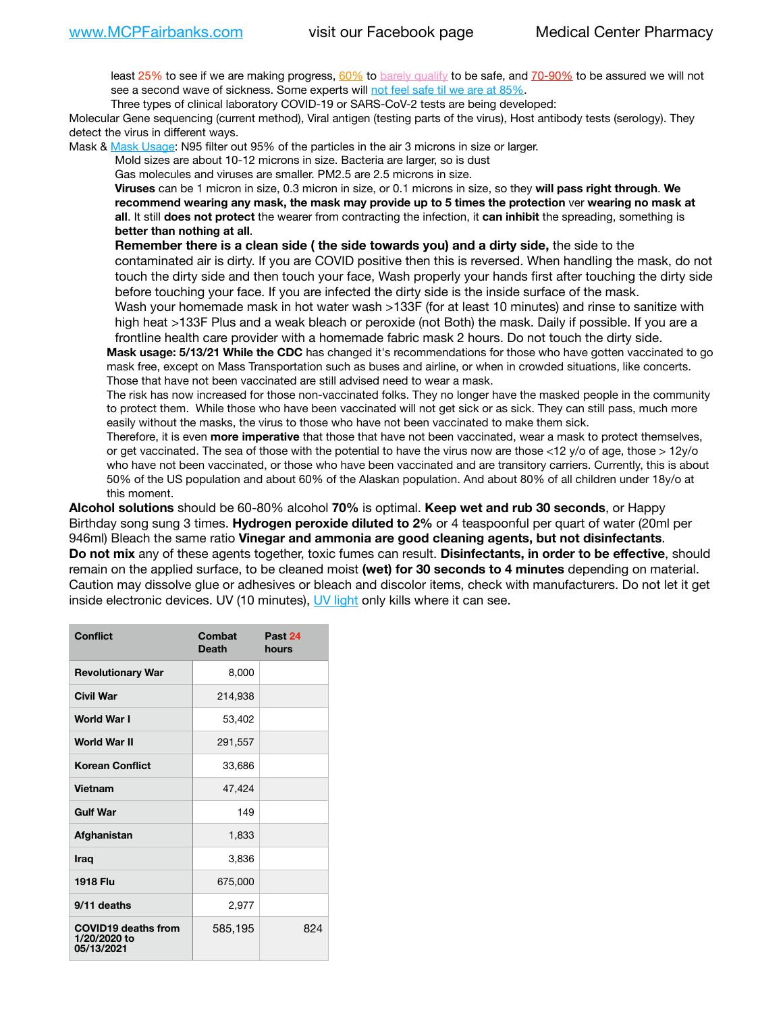least 25% to see if we are making progress, [60%](https://www.jhsph.edu/covid-19/articles/achieving-herd-immunity-with-covid19.html) to [barely qualify](https://www.nature.com/articles/d41586-020-02948-4) to be safe, and [70-90%](https://www.mayoclinic.org/herd-immunity-and-coronavirus/art-20486808) to be assured we will not see a second wave of sickness. Some experts will [not feel safe til we are at 85%.](https://www.bannerhealth.com/healthcareblog/teach-me/what-is-herd-immunity)

Three types of clinical laboratory COVID-19 or SARS-CoV-2 tests are being developed:

Molecular Gene sequencing (current method), Viral antigen (testing parts of the virus), Host antibody tests (serology). They detect the virus in different ways.

Mask & [Mask Usage:](https://www.nationalgeographic.com/history/2020/03/how-cities-flattened-curve-1918-spanish-flu-pandemic-coronavirus/) N95 filter out 95% of the particles in the air 3 microns in size or larger.

Mold sizes are about 10-12 microns in size. Bacteria are larger, so is dust

Gas molecules and viruses are smaller. PM2.5 are 2.5 microns in size.

**Viruses** can be 1 micron in size, 0.3 micron in size, or 0.1 microns in size, so they **will pass right through**. **We recommend wearing any mask, the mask may provide up to 5 times the protection** ver **wearing no mask at all**. It still **does not protect** the wearer from contracting the infection, it **can inhibit** the spreading, something is **better than nothing at all**.

**Remember there is a clean side ( the side towards you) and a dirty side,** the side to the contaminated air is dirty. If you are COVID positive then this is reversed. When handling the mask, do not touch the dirty side and then touch your face, Wash properly your hands first after touching the dirty side before touching your face. If you are infected the dirty side is the inside surface of the mask. Wash your homemade mask in hot water wash >133F (for at least 10 minutes) and rinse to sanitize with high heat >133F Plus and a weak bleach or peroxide (not Both) the mask. Daily if possible. If you are a

frontline health care provider with a homemade fabric mask 2 hours. Do not touch the dirty side. **Mask usage: 5/13/21 While the CDC** has changed it's recommendations for those who have gotten vaccinated to go mask free, except on Mass Transportation such as buses and airline, or when in crowded situations, like concerts. Those that have not been vaccinated are still advised need to wear a mask.

The risk has now increased for those non-vaccinated folks. They no longer have the masked people in the community to protect them. While those who have been vaccinated will not get sick or as sick. They can still pass, much more easily without the masks, the virus to those who have not been vaccinated to make them sick.

Therefore, it is even **more imperative** that those that have not been vaccinated, wear a mask to protect themselves, or get vaccinated. The sea of those with the potential to have the virus now are those <12 y/o of age, those >  $12y$ /o who have not been vaccinated, or those who have been vaccinated and are transitory carriers. Currently, this is about 50% of the US population and about 60% of the Alaskan population. And about 80% of all children under 18y/o at this moment.

**Alcohol solutions** should be 60-80% alcohol **70%** is optimal. **Keep wet and rub 30 seconds**, or Happy Birthday song sung 3 times. **Hydrogen peroxide diluted to 2%** or 4 teaspoonful per quart of water (20ml per 946ml) Bleach the same ratio **Vinegar and ammonia are good cleaning agents, but not disinfectants**. **Do not mix** any of these agents together, toxic fumes can result. **Disinfectants, in order to be effective**, should remain on the applied surface, to be cleaned moist **(wet) for 30 seconds to 4 minutes** depending on material. Caution may dissolve glue or adhesives or bleach and discolor items, check with manufacturers. Do not let it get inside electronic devices. UV (10 minutes), [UV light](http://www.docreviews.me/best-uv-boxes-2020/?fbclid=IwAR3bvFtXB48OoBBSvYvTEnKuHNPbipxM6jUo82QUSw9wckxjC7wwRZWabGw) only kills where it can see.

| Conflict                                                 | Combat<br><b>Death</b> | Past 24<br>hours |
|----------------------------------------------------------|------------------------|------------------|
| <b>Revolutionary War</b>                                 | 8,000                  |                  |
| Civil War                                                | 214,938                |                  |
| World War I                                              | 53,402                 |                  |
| <b>World War II</b>                                      | 291,557                |                  |
| <b>Korean Conflict</b>                                   | 33,686                 |                  |
| Vietnam                                                  | 47,424                 |                  |
| <b>Gulf War</b>                                          | 149                    |                  |
| Afghanistan                                              | 1,833                  |                  |
| <b>Iraq</b>                                              | 3,836                  |                  |
| <b>1918 Flu</b>                                          | 675,000                |                  |
| 9/11 deaths                                              | 2,977                  |                  |
| <b>COVID19 deaths from</b><br>1/20/2020 to<br>05/13/2021 | 585,195                | 824              |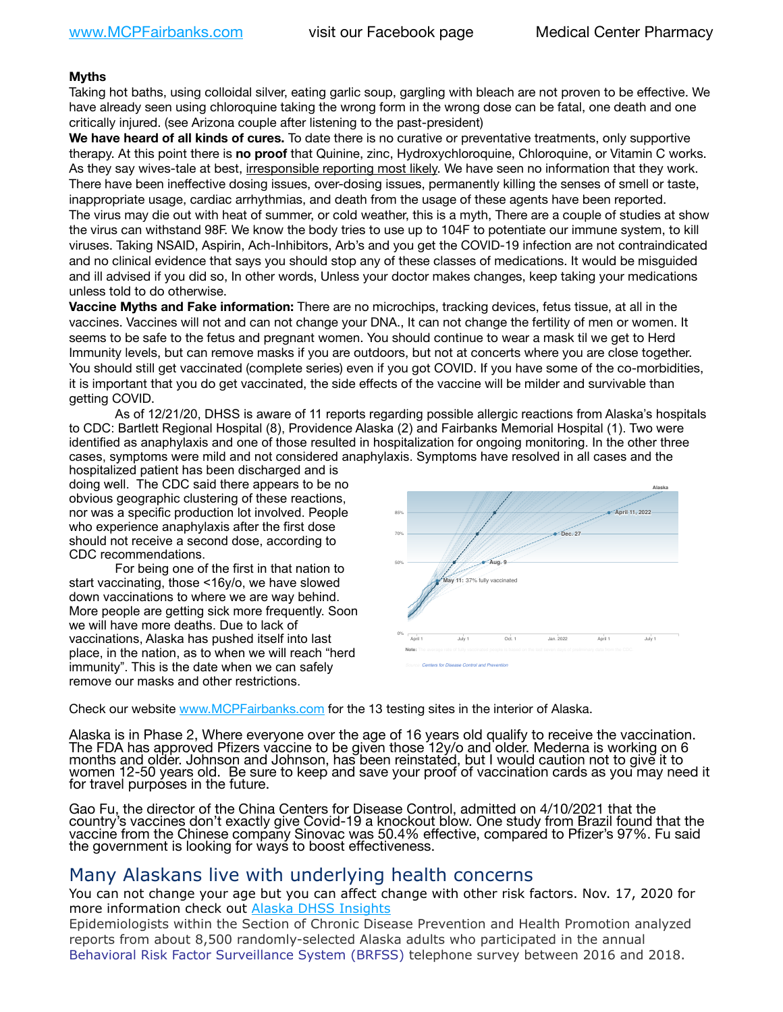## **Myths**

Taking hot baths, using colloidal silver, eating garlic soup, gargling with bleach are not proven to be effective. We have already seen using chloroquine taking the wrong form in the wrong dose can be fatal, one death and one critically injured. (see Arizona couple after listening to the past-president)

**We have heard of all kinds of cures.** To date there is no curative or preventative treatments, only supportive therapy. At this point there is **no proof** that Quinine, zinc, Hydroxychloroquine, Chloroquine, or Vitamin C works. As they say wives-tale at best, irresponsible reporting most likely. We have seen no information that they work. There have been ineffective dosing issues, over-dosing issues, permanently killing the senses of smell or taste, inappropriate usage, cardiac arrhythmias, and death from the usage of these agents have been reported. The virus may die out with heat of summer, or cold weather, this is a myth, There are a couple of studies at show the virus can withstand 98F. We know the body tries to use up to 104F to potentiate our immune system, to kill viruses. Taking NSAID, Aspirin, Ach-Inhibitors, Arb's and you get the COVID-19 infection are not contraindicated and no clinical evidence that says you should stop any of these classes of medications. It would be misguided and ill advised if you did so, In other words, Unless your doctor makes changes, keep taking your medications unless told to do otherwise.

**Vaccine Myths and Fake information:** There are no microchips, tracking devices, fetus tissue, at all in the vaccines. Vaccines will not and can not change your DNA., It can not change the fertility of men or women. It seems to be safe to the fetus and pregnant women. You should continue to wear a mask til we get to Herd Immunity levels, but can remove masks if you are outdoors, but not at concerts where you are close together. You should still get vaccinated (complete series) even if you got COVID. If you have some of the co-morbidities, it is important that you do get vaccinated, the side effects of the vaccine will be milder and survivable than getting COVID.

As of 12/21/20, DHSS is aware of 11 reports regarding possible allergic reactions from Alaska's hospitals to CDC: Bartlett Regional Hospital (8), Providence Alaska (2) and Fairbanks Memorial Hospital (1). Two were identified as anaphylaxis and one of those resulted in hospitalization for ongoing monitoring. In the other three cases, symptoms were mild and not considered anaphylaxis. Symptoms have resolved in all cases and the *Projections are based on each state's current rate of vaccination.*

hospitalized patient has been discharged and is doing well. The CDC said there appears to be no obvious geographic clustering of these reactions, nor was a specific production lot involved. People who experience anaphylaxis after the first dose should not receive a second dose, according to CDC recommendations.

For being one of the first in that nation to start vaccinating, those <16y/o, we have slowed down vaccinations to where we are way behind. More people are getting sick more frequently. Soon we will have more deaths. Due to lack of vaccinations, Alaska has pushed itself into last place, in the nation, as to when we will reach "herd immunity". This is the date when we can safely remove our masks and other restrictions.



Check our website [www.MCPFairbanks.com](http://www.MCPFairbanks.com) for the 13 testing sites in the interior of Alaska.

Alaska is in Phase 2, Where everyone over the age of 16 years old qualify to receive the vaccination. The FDA has approved Pfizers vaccine to be given those 12y/o and older. Mederna is working on 6<br>months and older. Johnson and Johnson, has been reinstated, but I would caution not to give it to women 12-50 years old. Be sure to keep and save your proof of vaccination cards as you may need it for travel purposes in the future.

Gao Fu, the director of the China Centers for Disease Control, admitted on 4/10/2021 that the country's vaccines don't exactly give Covid-19 a knockout blow. One study from Brazil found that the vaccine from the Chinese company Sinovac was 50.4% effective, compared to Pfizer's 97%. Fu said the government is looking for ways to boost effectiveness.

## Many Alaskans live with underlying health concerns

You can not change your age but you can affect change with other risk factors. Nov. 17, 2020 for more information check out [Alaska DHSS Insights](http://dhss.alaska.gov/dph/Epi/id/Pages/COVID-19/blog/20201117.aspx)

Epidemiologists within the Section of Chronic Disease Prevention and Health Promotion analyzed reports from about 8,500 randomly-selected Alaska adults who participated in the annual [Behavioral Risk Factor Surveillance System \(BRFSS\)](http://dhss.alaska.gov/dph/Chronic/Pages/brfss/default.aspx) telephone survey between 2016 and 2018.